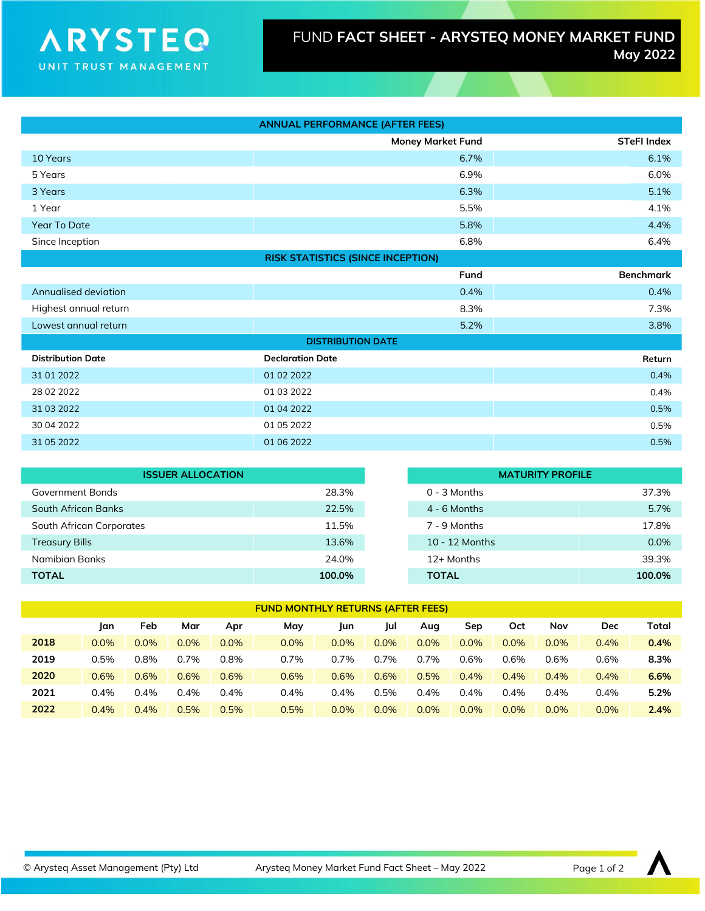## **ARYSTEQ** UNIT TRUST MANAGEMENT

| <b>ANNUAL PERFORMANCE (AFTER FEES)</b>   |                          |                    |  |  |  |
|------------------------------------------|--------------------------|--------------------|--|--|--|
|                                          | <b>Money Market Fund</b> | <b>STeFI Index</b> |  |  |  |
| 10 Years                                 | 6.7%                     | 6.1%               |  |  |  |
| 5 Years                                  | 6.9%                     | 6.0%               |  |  |  |
| 3 Years                                  | 6.3%                     | 5.1%               |  |  |  |
| 1 Year                                   | 5.5%                     | 4.1%               |  |  |  |
| Year To Date                             | 5.8%                     | 4.4%               |  |  |  |
| Since Inception                          | 6.8%                     | 6.4%               |  |  |  |
| <b>RISK STATISTICS (SINCE INCEPTION)</b> |                          |                    |  |  |  |
|                                          | Fund                     | <b>Benchmark</b>   |  |  |  |
| Annualised deviation                     | 0.4%                     | 0.4%               |  |  |  |
| Highest annual return                    | 8.3%                     | 7.3%               |  |  |  |
| Lowest annual return                     | 5.2%                     | 3.8%               |  |  |  |
| <b>DISTRIBUTION DATE</b>                 |                          |                    |  |  |  |
| <b>Distribution Date</b>                 | <b>Declaration Date</b>  | Return             |  |  |  |
| 31 01 2022                               | 01 02 2022               | 0.4%               |  |  |  |
| 28 02 2022                               | 01 03 2022               | 0.4%               |  |  |  |
| 31 03 2022                               | 01 04 2022               | 0.5%               |  |  |  |
| 30 04 2022                               | 01 05 2022               | 0.5%               |  |  |  |
| 31 05 2022                               | 01 06 2022               | 0.5%               |  |  |  |

| <b>ISSUER ALLOCATION</b> |        |                  | <b>MATURITY PROFILE</b> |  |  |  |
|--------------------------|--------|------------------|-------------------------|--|--|--|
| Government Bonds         | 28.3%  | $0 - 3$ Months   | 37.3%                   |  |  |  |
| South African Banks      | 22.5%  | $4 - 6$ Months   | 5.7%                    |  |  |  |
| South African Corporates | 11.5%  | 7 - 9 Months     | 17.8%                   |  |  |  |
| <b>Treasury Bills</b>    | 13.6%  | $10 - 12$ Months | $0.0\%$                 |  |  |  |
| Namibian Banks           | 24.0%  | 12+ Months       | 39.3%                   |  |  |  |
| <b>TOTAL</b>             | 100.0% | <b>TOTAL</b>     | 100.0%                  |  |  |  |

| <b>FUND MONTHLY RETURNS (AFTER FEES)</b> |      |      |      |      |      |      |      |      |      |      |      |      |       |
|------------------------------------------|------|------|------|------|------|------|------|------|------|------|------|------|-------|
|                                          | Jan  | Feb  | Mar  | Apr  | May  | Jun  | Jul  | Aug  | Sep  | Oct  | Nov  | Dec  | Total |
| 2018                                     | 0.0% | 0.0% | 0.0% | 0.0% | 0.0% | 0.0% | 0.0% | 0.0% | 0.0% | 0.0% | 0.0% | 0.4% | 0.4%  |
| 2019                                     | 0.5% | 0.8% | 0.7% | 0.8% | 0.7% | 0.7% | 0.7% | 0.7% | 0.6% | 0.6% | 0.6% | 0.6% | 8.3%  |
| 2020                                     | 0.6% | 0.6% | 0.6% | 0.6% | 0.6% | 0.6% | 0.6% | 0.5% | 0.4% | 0.4% | 0.4% | 0.4% | 6.6%  |
| 2021                                     | 0.4% | 0.4% | 0.4% | 0.4% | 0.4% | 0.4% | 0.5% | 0.4% | 0.4% | 0.4% | 0.4% | 0.4% | 5.2%  |
| 2022                                     | 0.4% | 0.4% | 0.5% | 0.5% | 0.5% | 0.0% | 0.0% | 0.0% | 0.0% | 0.0% | 0.0% | 0.0% | 2.4%  |